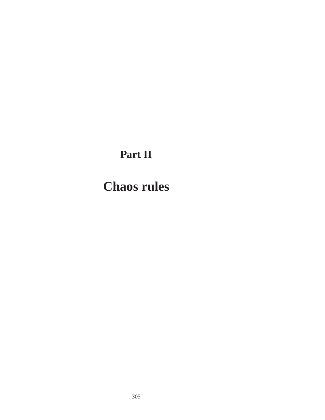## **Part II**

# **Chaos rules**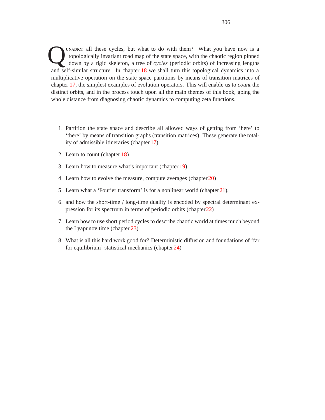UNADRY: all these cycles, but what to do with them? What you have now is a topologically invariant road map of the state space, with the chaotic region pinned down by a rigid skeleton, a tree of *cycles* (periodic orbits) topologically invariant road map of the state space, with the chaotic region pinned down by a rigid skeleton, a tree of *cycles* (periodic orbits) of increasing lengths and self-similar structure. In chapter 18 we shall turn this topological dynamics into a multiplicative operation on the state space partitions by means of transition matrices of chapter 17, the simplest examples of evolution operators. This will enable us to *count* the distinct orbits, and in the process touch upon all the main themes of this book, going the whole distance from diagnosing chaotic dynamics to computing zeta functions.

- 1. Partition the state space and describe all allowed ways of getting from 'here' to 'there' by means of transition graphs (transition matrices). These generate the totality of admissible itineraries (chapter 17)
- 2. Learn to count (chapter 18)
- 3. Learn how to measure what's important (chapter 19)
- 4. Learn how to evolve the measure, compute averages (chapter20)
- 5. Learn what a 'Fourier transform' is for a nonlinear world (chapter21),
- 6. and how the short-time / long-time duality is encoded by spectral determinant expression for its spectrum in terms of periodic orbits (chapter22)
- 7. Learn how to use short period cycles to describe chaotic world at times much beyond the Lyapunov time (chapter 23)
- 8. What is all this hard work good for? Deterministic diffusion and foundations of 'far for equilibrium' statistical mechanics (chapter 24)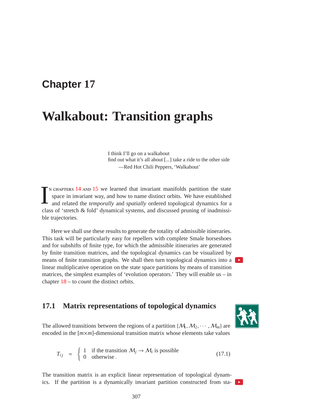### **Chapter 17**

## **Walkabout: Transition graphs**

I think I'll go on a walkabout find out what it's all about [...] take a ride to the other side —Red Hot Chili Peppers, 'Walkabout'

I  $\tau$ <sub>N</sub> chapters 14 and 15 we learned that invariant manifolds partition the state space in invariant way, and how to name distinct orbits. We have established and related the *temporally* and *spatially* ordered topological dynamics for a class of 'stretch & fold' dynamical systems, and discussed pruning of inadmissible trajectories.

Here we shall use these results to generate the totality of admissible itineraries. This task will be particularly easy for repellers with complete Smale horseshoes and for subshifts of finite type, for which the admissible itineraries are generated by finite transition matrices, and the topological dynamics can be visualized by means of finite transition graphs. We shall then turn topological dynamics into a linear multiplicative operation on the state space partitions by means of transition matrices, the simplest examples of 'evolution operators.' They will enable us – in chapter 18 – to *count* the distinct orbits.

#### **17.1 Matrix representations of topological dynamics**



The allowed transitions between the regions of a partition  $\{M_1, M_2, \cdots, M_m\}$  are encoded in the  $[m \times m]$ -dimensional transition matrix whose elements take values

$$
T_{ij} = \begin{cases} 1 & \text{if the transition } \mathcal{M}_j \to \mathcal{M}_i \text{ is possible} \\ 0 & \text{otherwise.} \end{cases}
$$
 (17.1)

The transition matrix is an explicit linear representation of topological dynamics. If the partition is a dynamically invariant partition constructed from sta-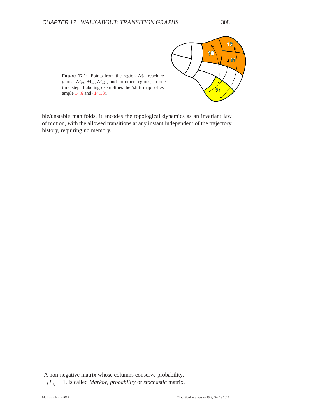

**Figure 17.1:** Points from the region  $M_{21}$  reach regions  $\{M_{10}, M_{11}, M_{12}\}$ , and no other regions, in one time step. Labeling exemplifies the 'shift map' of example 14.6 and (14.13).

ble/unstable manifolds, it encodes the topological dynamics as an invariant law of motion, with the allowed transitions at any instant independent of the trajectory history, requiring no memory.

A non-negative matrix whose columns conserve probability,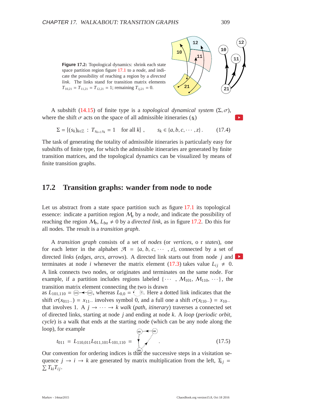



A subshift (14.15) of finite type is a *topological dynamical system*  $(\Sigma, \sigma)$ , where the shift  $\sigma$  acts on the space of all admissible itineraries  $(g_k)$ 

 $\Sigma = \{(s_k)_{k \in \mathbb{Z}} : T_{s_{k+1} s_k} = 1 \text{ for all } k\}, \qquad s_k \in \{a, b, c, \dots, z\}.$  (17.4)

The task of generating the totality of admissible itineraries is particularly easy for subshifts of finite type, for which the admissible itineraries are generated by finite transition matrices, and the topological dynamics can be visualized by means of finite transition graphs.

#### **17.2 Transition graphs: wander from node to node**

Let us abstract from a state space partition such as figure 17.1 its topological essence: indicate a partition region M*<sup>a</sup>* by a *node*, and indicate the possibility of reaching the region  $M_b$ ,  $L_{ba} \neq 0$  by a *directed link*, as in figure 17.2. Do this for all nodes. The result is a *transition graph*.

A *transition graph* consists of a set of *nodes* (or *vertices*,or *states*), one for each letter in the alphabet  $\mathcal{A} = \{a, b, c, \dots, z\}$ , connected by a set of directed *links* (*edges*, *arcs*, *arrows*). A directed link starts out from node *j* and terminates at node *i* whenever the matrix element (17.3) takes value  $L_{ij} \neq 0$ . A link connects two nodes, or originates and terminates on the same node. For example, if a partition includes regions labeled  $\{\cdots, M_{101}, M_{110}, \cdots\}$ , the transition matrix element connecting the two is drawn as  $L_{101,110} = \omega \leftarrow \omega$ , whereas  $L_{0,0} = \psi$   $\omega$ . Here a dotted link indicates that the shift  $\sigma(x_{011\cdots}) = x_{11\cdots}$  involves symbol 0, and a full one a shift  $\sigma(x_{110\cdots}) = x_{10\cdots}$ that involves 1. A  $j \rightarrow \cdots \rightarrow k$  walk (*path*, *itinerary*) traverses a connected set of directed links, starting at node *j* and ending at node *k*. A *loop* (*periodic orbit*, *cycle*) is a walk that ends at the starting node (which can be any node along the loop), for example 101) - 110

$$
t_{011} = L_{110,011}L_{011,101}L_{101,110} = \sqrt{\frac{60}{\text{m}}}.
$$
 (17.5)

Our convention for ordering indices is that the successive steps in a visitation sequence  $j \rightarrow i \rightarrow k$  are generated by matrix multiplication from the left,  $T_{ki}$  =  $\sum T_{ki}T_{ij}$ .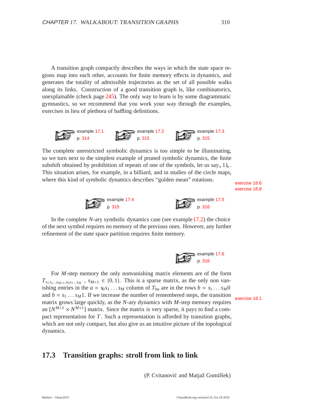A transition graph compactly describes the ways in which the state space regions map into each other, accounts for finite memory effects in dynamics, and generates the totality of admissible trajectories as the set of all possible walks along its links. Construction of a good transition graph is, like combinatorics, unexplainable (check page 245). The only way to learn is by some diagrammatic gymnastics, so we recommend that you work your way through the examples, exercises in lieu of plethora of baffling definitions.



The complete unrestricted symbolic dynamics is too simple to be illuminating, so we turn next to the simplest example of pruned symbolic dynamics, the finite subshift obtained by prohibition of repeats of one of the symbols, let us say  $11$ . This situation arises, for example, in a billiard, and in studies of the circle maps, where this kind of symbolic dynamics describes "golden mean" rotations.

exercise 18.8





In the complete *N*-ary symbolic dynamics case (see example17.2) the choice of the next symbol requires no memory of the previous ones. However, any further refinement of the state space partition requires finite memory.



For *M*-step memory the only nonvanishing matrix elements are of the form  $T_{s_1 s_2 \ldots s_{M+1}, s_0 s_1 \ldots s_M}$ ,  $s_{M+1} \in \{0, 1\}$ . This is a sparse matrix, as the only non vanishing entries in the  $a = s_0 s_1 ... s_M$  column of  $T_{ba}$  are in the rows  $b = s_1 ... s_M 0$ <br>and  $b = s_1 ... s_M 1$ . If we increase the number of remembered steps, the transition and  $b = s_1 \dots s_M$  . If we increase the number of remembered steps, the transition exercise 18.1 matrix grows large quickly, as the *N*-ary dynamics with *M*-step memory requires an  $[N^{M+1} \times N^{M+1}]$  matrix. Since the matrix is very sparse, it pays to find a compact representation for *T*. Such a representation is afforded by transition graphs, which are not only compact, but also give us an intuitive picture of the topological dynamics.

#### **17.3 Transition graphs: stroll from link to link**

(P. Cvitanović and Matjaž Gomilšek)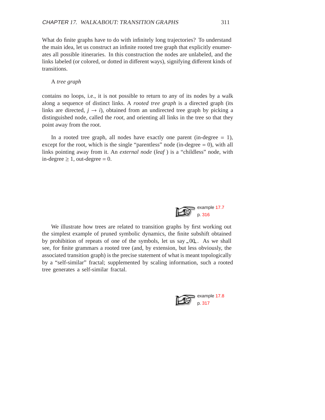What do finite graphs have to do with infinitely long trajectories? To understand the main idea, let us construct an infinite rooted tree graph that explicitly enumerates all possible itineraries. In this construction the nodes are unlabeled, and the links labeled (or colored, or dotted in different ways), signifying different kinds of transitions.

#### A *tree graph*

contains no loops, i.e., it is not possible to return to any of its nodes by a walk along a sequence of distinct links. A *rooted tree graph* is a directed graph (its links are directed,  $j \rightarrow i$ ), obtained from an undirected tree graph by picking a distinguished node, called the *root*, and orienting all links in the tree so that they point away from the root.

In a rooted tree graph, all nodes have exactly one parent (in-degree  $= 1$ ), except for the root, which is the single "parentless" node (in-degree  $= 0$ ), with all links pointing away from it. An *external node* (*leaf* ) is a "childless" node, with in-degree  $\geq 1$ , out-degree = 0.



We illustrate how trees are related to transition graphs by first working out the simplest example of pruned symbolic dynamics, the finite subshift obtained by prohibition of repeats of one of the symbols, let us say  $0.00$ . As we shall see, for finite grammars a rooted tree (and, by extension, but less obviously, the associated transition graph) is the precise statement of what is meant topologically by a "self-similar" fractal; supplemented by scaling information, such a rooted tree generates a self-similar fractal.

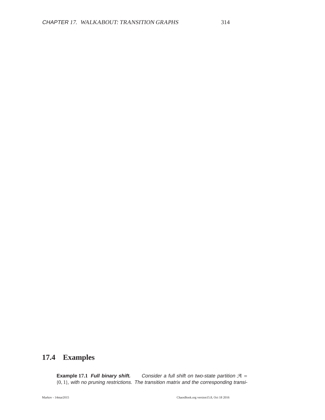### **17.4 Examples**

**Example 17.1 Full binary shift.** Consider a full shift on two-state partition  $A =$ {0, 1}, with no pruning restrictions. The transition matrix and the corresponding transi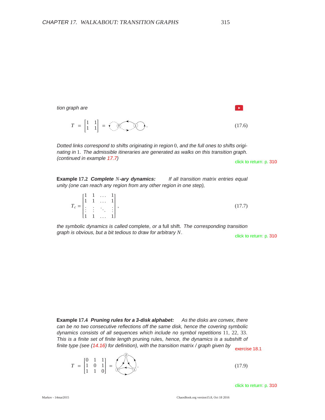tion graph are  $\mathbf{p}$  $T = \begin{bmatrix} 1 & 1 \\ 1 & 1 \end{bmatrix} = \sqrt{0} \sqrt{0}$ . (17.6)

Dotted links correspond to shifts originating in region 0, and the full ones to shifts originating in 1. The admissible itineraries are generated as walks on this transition graph. (continued in example 17.7) click to return: p. 310

**Example 17.2 Complete** *N***-ary dynamics:** If all transition matrix entries equal unity (one can reach any region from any other region in one step),

|  |                                                                                                                                         | (17.7) |
|--|-----------------------------------------------------------------------------------------------------------------------------------------|--------|
|  | $T_c = \begin{bmatrix} 1 & 1 & \dots & 1 \\ 1 & 1 & \dots & 1 \\ \vdots & \vdots & \ddots & \vdots \\ 1 & 1 & \dots & 1 \end{bmatrix},$ |        |

the symbolic dynamics is called complete, or <sup>a</sup> full shift. The corresponding transition graph is obvious, but a bit tedious to draw for arbitrary *N*.

**Example 17.4 Pruning rules for <sup>a</sup> 3-disk alphabet:** As the disks are convex, there can be no two consecutive reflections off the same disk, hence the covering symbolic dynamics consists of all sequences which include no symbol repetitions 11, 22, 33. This is <sup>a</sup> finite set of finite length pruning rules, hence, the dynamics is <sup>a</sup> subshift of finite type (see (14.16) for definition), with the transition matrix / graph given by  $\frac{18.1}{\text{exercise 18.1}}$ 

 $22$ 

$$
T = \begin{bmatrix} 0 & 1 & 1 \\ 1 & 0 & 1 \\ 1 & 1 & 0 \end{bmatrix} = \begin{bmatrix} 0 & 0 & 0 \\ 0 & 0 & 1 \\ 0 & 0 & 0 \end{bmatrix}.
$$
 (17.9)

click to return: p. 310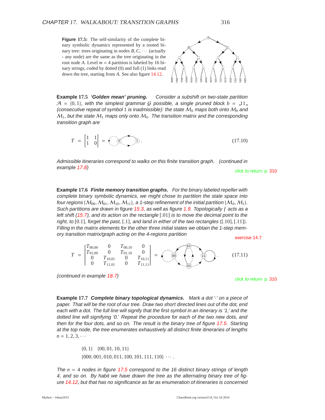**Figure 17.5:** The self-similarity of the complete binary symbolic dynamics represented by a rooted binary tree: trees originating in nodes  $B, C, \cdots$  (actually - any node) are the same as the tree originating in the root node *A*. Level  $m = 4$  partition is labeled by 16 binary strings, coded by dotted (0) and full (1) links read down the tree, starting from *A*. See also figure 14.12.

A  $\mathbf{B}$  C 0011 0010 0110 0111 0100 1<br>001 1<br>1<br>1 1<br>1<br>1<br>1 1110 1010 1011 1001 8  $\vec{0}$ 0000

**Example 17.5 'Golden mean' pruning.** Consider <sup>a</sup> subshift on two-state partition  $A = \{0, 1\}$ , with the simplest grammar G possible, a single pruned block  $b = 11$ . (consecutive repeat of symbol 1 is inadmissible): the state  $M_0$  maps both onto  $M_0$  and  $M_1$ , but the state  $M_1$  maps only onto  $M_0$ . The transition matrix and the corresponding transition graph are

$$
T = \begin{bmatrix} 1 & 1 \\ 1 & 0 \end{bmatrix} = \sqrt{\begin{bmatrix} 0 \\ 0 \end{bmatrix}}.
$$
 (17.10)

Admissible itineraries correspond to walks on this finite transition graph. (continued in example 17.8) click to return: p. 310

**Example 17.6 Finite memory transition graphs.** For the binary labeled repeller with complete binary symbolic dynamics, we might chose to partition the state space into four regions { $M_{00},M_{01},M_{10},M_{11}$ }, a 1-step refinement of the initial partition { $M_0,M_1$ }. Such partitions are drawn in figure 15.3, as well as figure 1.9. Topologically *f* acts as <sup>a</sup> left shift (15.7), and its action on the rectangle [.01] is to move the decimal point to the right, to  $[0.1]$ , forget the past,  $[.1]$ , and land in either of the two rectangles  $\{[.10], [.11]$ . Filling in the matrix elements for the other three initial states we obtain the 1-step memory transition matrix/graph acting on the 4-regions partition exercise 14.7



(continued in example 18.7) click to return: p. 310

**Example 17.7 Complete binary topological dynamics.** Mark <sup>a</sup> dot '·' on <sup>a</sup> piece of paper. That will be the root of our tree. Draw two short directed lines out of the dot, end each with <sup>a</sup> dot. The full line will signify that the first symbol in an itinerary is '1,' and the dotted line will signifying '0.' Repeat the procedure for each of the two new dots, and then for the four dots, and so on. The result is the binary tree of figure 17.5. Starting at the top node, the tree enumerates exhaustively all distinct finite itineraries of lengths  $n = 1, 2, 3, \cdots$ 

$$
\{0, 1\} \{00, 01, 10, 11\} \{000, 001, 010, 011, 100, 101, 111, 110\} \cdots
$$

The *n* = 4 nodes in figure 17.5 correspond to the <sup>16</sup> distinct binary strings of length 4, and so on. By habit we have drawn the tree as the alternating binary tree of figure 14.12, but that has no significance as far as enumeration of itineraries is concerned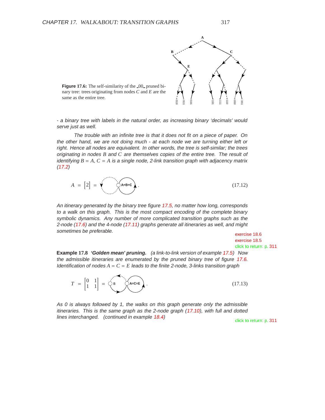

**Figure 17.6:** The self-similarity of the 00 pruned binary tree: trees originating from nodes *C* and *E* are the same as the entire tree.

- <sup>a</sup> binary tree with labels in the natural order, as increasing binary 'decimals' would serve just as well.

The trouble with an infinite tree is that it does not fit on <sup>a</sup> piece of paper. On the other hand, we are not doing much - at each node we are turning either left or right. Hence all nodes are equivalent. In other words, the tree is self-similar; the trees originating in nodes *B* and *C* are themselves copies of the entire tree. The result of identifying  $B = A$ ,  $C = A$  is a single node, 2-link transition graph with adjacency matrix  $(17.2)$ 

$$
A = [2] = \sqrt{\lambda^{A-B-C}}.
$$
\n(17.12)

An itinerary generated by the binary tree figure 17.5, no matter how long, corresponds to <sup>a</sup> walk on this graph. This is the most compact encoding of the complete binary symbolic dynamics. Any number of more complicated transition graphs such as the 2-node (17.6) and the 4-node (17.11) graphs generate all itineraries as well, and might sometimes be preferable. exercise 18.6

exercise 18.5 click to return: p. 311

**Example 17.8 'Golden mean' pruning.** (a link-to-link version of example 17.5) Now the admissible itineraries are enumerated by the pruned binary tree of figure 17.6. Identification of nodes  $A = C = E$  leads to the finite 2-node, 3-links transition graph



As 0 is always followed by 1, the walks on this graph generate only the admissible itineraries. This is the same graph as the 2-node graph (17.10), with full and dotted lines interchanged. (continued in example 18.4) click to return: p. 311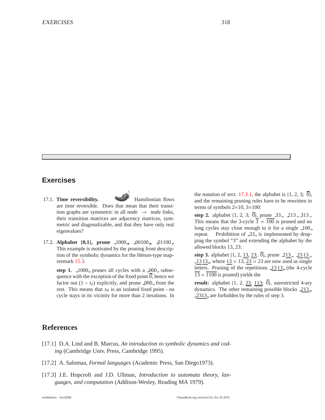#### **Exercises**

- 17.1. **Time reversibility.** Hamiltonian flows are time reversible. Does that mean that their transition graphs are symmetric in all node  $\rightarrow$  node links, their transition matrices are adjacency matrices, symmetric and diagonalizable, and that they have only real eigenvalues?
- 17.2. **Alphabet** {**0,1**}**, prune** 1000 **,** 00100 **,** 01100 **.** This example is motivated by the pruning front description of the symbolic dynamics for the Hénon-type mapsremark 15.3.

step 1.  $\angle 1000$  prunes all cycles with a  $\angle 000$  subsequence with the exception of the fixed point 0; hence we factor out  $(1 - t_0)$  explicitly, and prune 000 from the rest. This means that  $x_0$  is an isolated fixed point - no cycle stays in its vicinity for more than 2 iterations. In

the notation of sect. 17.3.1, the alphabet is  $\{1, 2, 3; \overline{0}\}\,$ , and the remaining pruning rules have to be rewritten in terms of symbols  $2=10$ ,  $3=100$ :

**step 2.** alphabet  $\{1, 2, 3; \overline{0}\}$ , prune  $-33$ ,  $-213$ ,  $-313$ . This means that the 3-cycle  $\overline{3} = \overline{100}$  is pruned and no long cycles stay close enough to it for a single 100 repeat. Prohibition of 33<sub>-</sub> is implemented by dropping the symbol "3" and extending the alphabet by the allowed blocks 13, 23:

**step 3.** alphabet  $\{1, 2, \underline{13}, \underline{23}; 0\}$ , prune  $213$ ,  $2313$ , 13 13, where  $13 = 13$ ,  $23 = 23$  are now used as single letters. Pruning of the repetitions 1313 (the 4-cycle  $\overline{13} = \overline{1100}$  is pruned) yields the

**result:** alphabet  $\{1, 2, 23, 113, 0\}$ , unrestricted 4-ary dynamics. The other remaining possible blocks 213 , 2313 are forbidden by the rules of step 3.

#### **References**

- [17.1] D.A. Lind and B. Marcus, *An introduction to symbolic dynamics and coding* (Cambridge Univ. Press, Cambridge 1995).
- [17.2] A. Salomaa, *Formal languages* (Academic Press, San Diego1973).
- [17.3] J.E. Hopcroft and J.D. Ullman, *Introduction to automata theory, languages, and computation* (Addison-Wesley, Reading MA 1979).